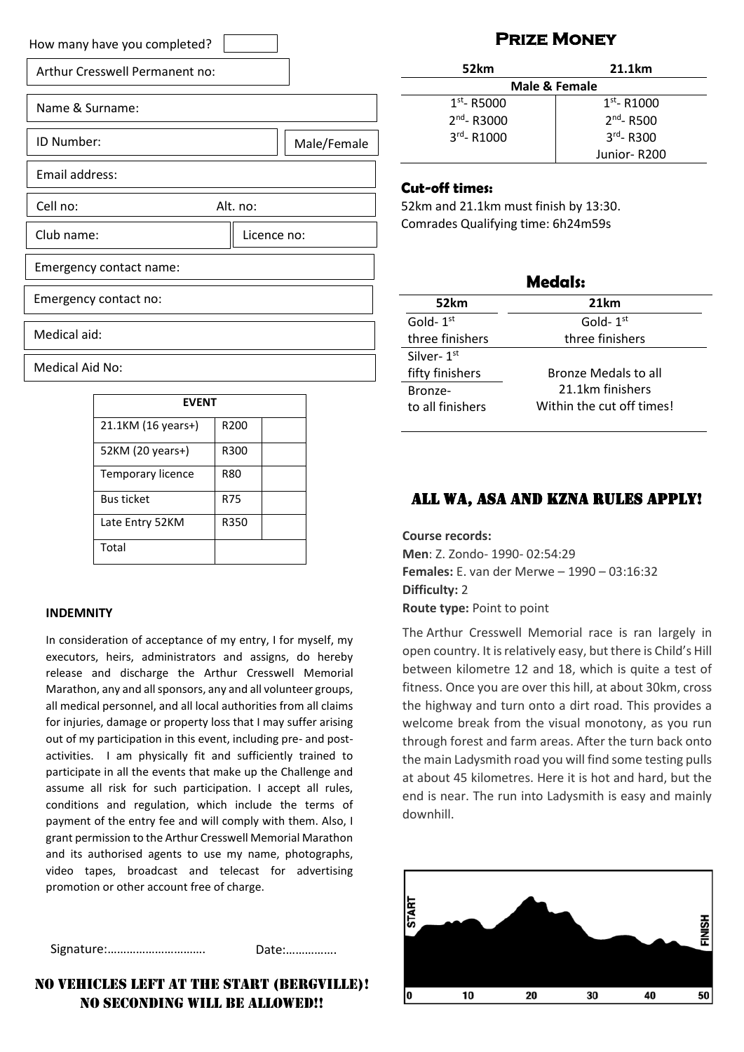| How many have you completed?   |
|--------------------------------|
| Arthur Cresswell Permanent no: |
| Name & Surname:                |
| ID Number:<br>Male/Female      |
| Email address:                 |
| Cell no:<br>Alt. no:           |
| Club name:<br>Licence no:      |
| Emergency contact name:        |
| Emergency contact no:          |
| Medical aid:                   |
| Medical Aid No:                |

| <b>FVFNT</b>       |                  |  |
|--------------------|------------------|--|
| 21.1KM (16 years+) | R <sub>200</sub> |  |
| 52KM (20 years+)   | R300             |  |
| Temporary licence  | <b>R80</b>       |  |
| <b>Bus ticket</b>  | R75              |  |
| Late Entry 52KM    | R350             |  |
| Total              |                  |  |

#### **INDEMNITY**

In consideration of acceptance of my entry, I for myself, my executors, heirs, administrators and assigns, do hereby release and discharge the Arthur Cresswell Memorial Marathon, any and all sponsors, any and all volunteer groups, all medical personnel, and all local authorities from all claims for injuries, damage or property loss that I may suffer arising out of my participation in this event, including pre- and postactivities. I am physically fit and sufficiently trained to participate in all the events that make up the Challenge and assume all risk for such participation. I accept all rules, conditions and regulation, which include the terms of payment of the entry fee and will comply with them. Also, I grant permission to the Arthur Cresswell Memorial Marathon and its authorised agents to use my name, photographs, video tapes, broadcast and telecast for advertising promotion or other account free of charge.

Signature:…………………………. Date:…………….

#### No vehicles left at the start (Bergville)! NO SECONDING WILL BE ALLOWED!!

### **Prize Money**

| 52km             | 21.1km          |  |  |
|------------------|-----------------|--|--|
| Male & Female    |                 |  |  |
| $1st$ - R5000    | $1st$ - R1000   |  |  |
| $2^{nd}$ - R3000 | $2^{nd}$ - R500 |  |  |
| $3rd - R1000$    | $3^{rd}$ - R300 |  |  |
|                  | Junior-R200     |  |  |

#### **Cut-off times:**

52km and 21.1km must finish by 13:30. Comrades Qualifying time: 6h24m59s

| <b>Medals:</b>   |                             |  |  |
|------------------|-----------------------------|--|--|
| 52km             | 21km                        |  |  |
| Gold- $1st$      | Gold- $1st$                 |  |  |
| three finishers  | three finishers             |  |  |
| Silver-1st       |                             |  |  |
| fifty finishers  | <b>Bronze Medals to all</b> |  |  |
| Bronze-          | 21.1km finishers            |  |  |
| to all finishers | Within the cut off times!   |  |  |

#### All WA, ASA and KZNA rules apply!

**Course records: Men**: Z. Zondo- 1990- 02:54:29 **Females:** E. van der Merwe – 1990 – 03:16:32 **Difficulty:** 2 **Route type:** Point to point

The Arthur Cresswell Memorial race is ran largely in open country. It is relatively easy, but there is Child's Hill between kilometre 12 and 18, which is quite a test of fitness. Once you are over this hill, at about 30km, cross the highway and turn onto a dirt road. This provides a welcome break from the visual monotony, as you run through forest and farm areas. After the turn back onto the main Ladysmith road you will find some testing pulls at about 45 kilometres. Here it is hot and hard, but the end is near. The run into Ladysmith is easy and mainly downhill.